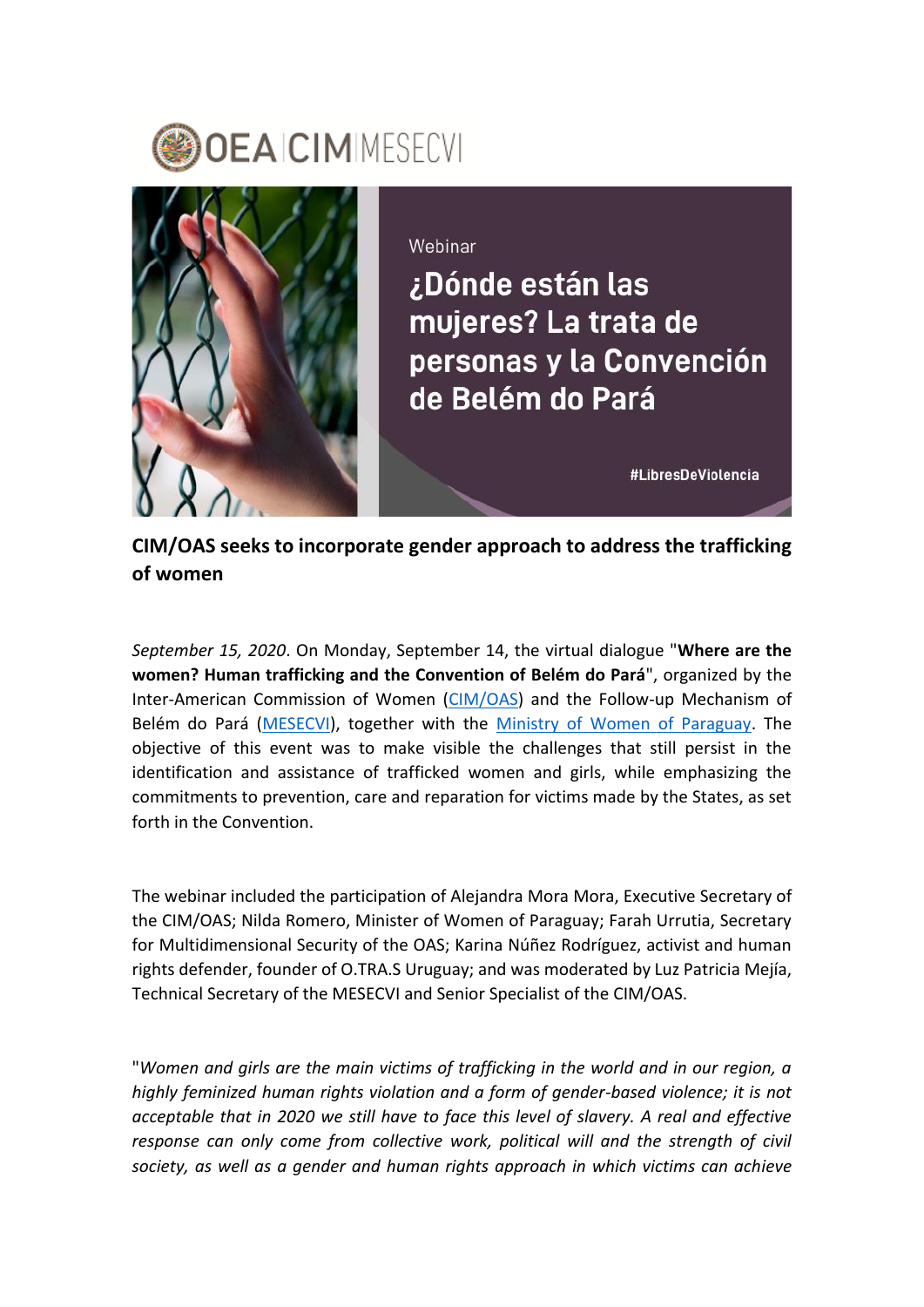



Webinar

¿Dónde están las mujeres? La trata de personas y la Convención de Belém do Pará

#LibresDeViolencia

**CIM/OAS seeks to incorporate gender approach to address the trafficking of women**

*September 15, 2020*. On Monday, September 14, the virtual dialogue "**Where are the women? Human trafficking and the Convention of Belém do Pará**", organized by the Inter-American Commission of Women [\(CIM/OAS\)](http://www.oas.org/en/cim/default.asp) and the Follow-up Mechanism of Belém do Pará [\(MESECVI\)](http://www.oas.org/en/mesecvi/about.asp), together with the [Ministry of Women of Paraguay.](http://mujer.senatics.gov.py/index.php) The objective of this event was to make visible the challenges that still persist in the identification and assistance of trafficked women and girls, while emphasizing the commitments to prevention, care and reparation for victims made by the States, as set forth in the Convention.

The webinar included the participation of Alejandra Mora Mora, Executive Secretary of the CIM/OAS; Nilda Romero, Minister of Women of Paraguay; Farah Urrutia, Secretary for Multidimensional Security of the OAS; Karina Núñez Rodríguez, activist and human rights defender, founder of O.TRA.S Uruguay; and was moderated by Luz Patricia Mejía, Technical Secretary of the MESECVI and Senior Specialist of the CIM/OAS.

"*Women and girls are the main victims of trafficking in the world and in our region, a highly feminized human rights violation and a form of gender-based violence; it is not acceptable that in 2020 we still have to face this level of slavery. A real and effective response can only come from collective work, political will and the strength of civil society, as well as a gender and human rights approach in which victims can achieve*